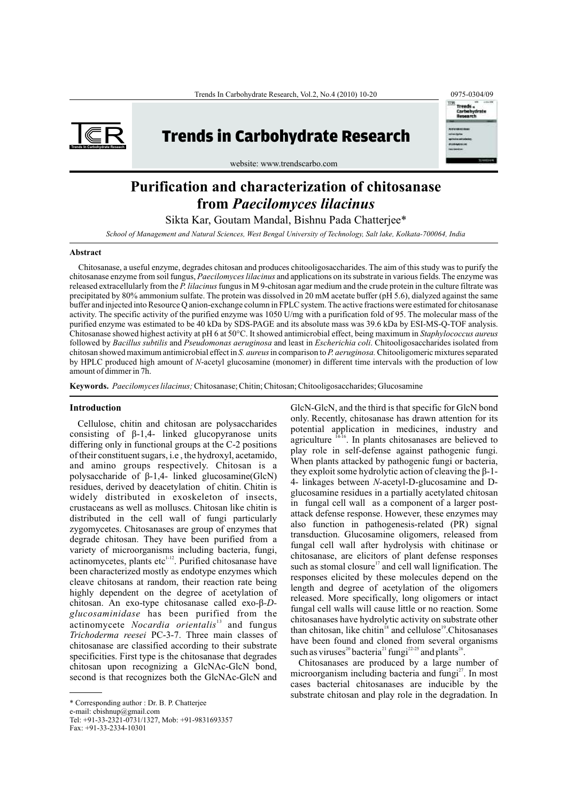

# **Trends in Carbohydrate Research**



website: www.trendscarbo.com

## **Purification and characterization of chitosanase from** *Paecilomyces lilacinus*

Sikta Kar, Goutam Mandal, Bishnu Pada Chatterjee\*

*School of Management and Natural Sciences, West Bengal University of Technology, Salt lake, Kolkata-700064, India*

### **Abstract**

Chitosanase, a useful enzyme, degrades chitosan and produces chitooligosaccharides. The aim of this study was to purify the chitosanase enzyme from soil fungus, *Paecilomyces lilacinus* and applications on its substrate in various fields. The enzyme was released extracellularly from the *P. lilacinus* fungus in M 9-chitosan agar medium and the crude protein in the culture filtrate was precipitated by 80% ammonium sulfate. The protein was dissolved in 20 mM acetate buffer (pH 5.6), dialyzed against the same buffer and injected into Resource Q anion-exchange column in FPLC system. The active fractions were estimated for chitosanase activity. The specific activity of the purified enzyme was 1050 U/mg with a purification fold of 95. The molecular mass of the purified enzyme was estimated to be 40 kDa by SDS-PAGE and its absolute mass was 39.6 kDa by ESI-MS-Q-TOF analysis. Chitosanase showed highest activity at pH 6 at 50°C. It showed antimicrobial effect, being maximum in *Staphylococcus aureus*  followed by *Bacillus subtilis* and *Pseudomonas aeruginosa* and least in *Escherichia coli*. Chitooligosaccharides isolated from chitosan showed maximum antimicrobial effect in *S. aureus* in comparison to *P. aeruginosa.* Chitooligomeric mixtures separated by HPLC produced high amount of *N*-acetyl glucosamine (monomer) in different time intervals with the production of low amount of dimmer in 7h.

**Keywords.**  *Paecilomyces lilacinus;* Chitosanase; Chitin; Chitosan; Chitooligosaccharides; Glucosamine

valuely of incrootgamma.<sup>13</sup> including backeting, tangle,<br>actinomycetes, plants etc<sup>1,12</sup>. Purified chitosanase have<br>been characterized mostly as endotype enzymes which<br>cleave chitosans at random, their reaction rate bein actinomycete *Nocardia orientalis*<sup>13</sup> and fungus<br> *Trichoderma reesei* PC-3-7. Three main classes of<br>
chitosanase are classified according to their substrate<br>
specificities. First type is the chitosanase that degrades<br>
ch

Tel: +91-33-2321-0731/1327, Mob: +91-9831693357

**Introduction** GlcN-GlcN, and the third is that specific for GlcN bond Cellulose, chitin and chitosan are polysaccharides only. Recently, chitosanase has drawn attention for its<br>consisting of β-1,4- linked glucopyranose units potential application in medicines, industry and<br>differing only i

> cases bacterial chitosanases are inducible by the substrate chitosan and play role in the degradation. In

<sup>\*</sup> Corresponding author : Dr. B. P. Chatterjee

e-mail: cbishnup@gmail.com

<sup>1</sup> Fax: +91-33-2334-1030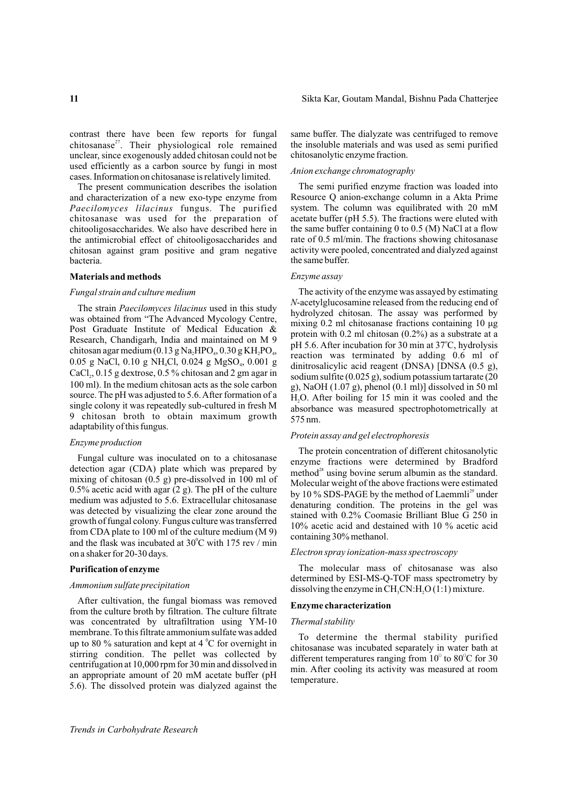$27$ . Their physiological role remained the insoluble materials and was used as semi purified unclear, since exogenously added chitosan could not be chitosanolytic enzyme fraction. used efficiently as a carbon source by fungi in most *Anion exchange chromatography* cases. Information on chitosanase is relatively limited.

and characterization of a new exo-type enzyme from Resource Q anion-exchange column in a Akta Prime Paecilomyces lilacinus fungus. The purified system. The column was equilibrated with 20 mM *Paecilomyces lilacinus* fungus. The purified system. The column was equilibrated with 20 mM chitosanase was used for the preparation of acetate buffer (pH 5.5). The fractions were eluted with chitosanase was used for the preparation of chitooligosaccharides. We also have described here in the same buffer containing 0 to 0.5 (M) NaCl at a flow the antimicrobial effect of chitooligosaccharides and rate of 0.5 ml/min. The fractions showing chitosanase chitosan against gram positive and gram negative activity were pooled, concentrated and dialyzed against chitosan against gram positive and gram negative bacteria. the same buffer.

### **Materials and methods** *Enzyme assay*

Research, Chandigarh, India and maintained on M 9<br>chitosan agar medium (0.13 g Na<sub>2</sub>HPO<sub>4</sub>, 0.30 g KH<sub>2</sub>PO<sub>4</sub>,<br> $\frac{pH 5.6}{pH 5.6}$  After incubation for 30 min at 37°C, hydrolysis<br>chitosan agar medium (0.13 g Na<sub>2</sub>HPO<sub>4</sub>, CaCl<sub>2</sub>, 0.15 g dextrose, 0.5 % chitosan and 2 gm agar in  $100 \text{ mil}$  sodium sulfite (0.025 g), sodium potassium tartarate (2003 g), sodium potassium tartarate (2003 g), sodium potassium tartarate (2003 g), sodium potassiu 100 ml). In the medium chitosan acts as the sole carbon g), NaOH (1.07 g), phenol (0.1 ml)] dissolved in 50 ml<br>source. The pH was adjusted to 5.6. After formation of a  $\overline{H}$  O After boiling for 15 min it was cooled and source. The pH was adjusted to 5.6. After formation of a  $H_2O$ . After boiling for 15 min it was cooled and the single colony it was repeatedly sub-cultured in fresh  $M_2$  absorbance was measured spectrophotometrically at 9 chitosan broth to obtain maximum growth  $\frac{255662}{575}$  nm. adaptability of this fungus.

### *Enzyme production*

detection agar (CDA) plate which was prepared by<br>
method<sup>28</sup> using bovine serum albumin as the standard.<br>
0.5% acetic acid with agar (2 g). The pH of the culture<br>
medium was adjusted to 5.6. Extracellular chitosanase<br>
was and the flask was incubated at  $30^{\circ}$ C with 175 rev / min on a shaker for 20-30 days. *Electron spray ionization-mass spectroscopy*

After cultivation, the fungal biomass was removed<br>from the culture broth by filtration. The culture filtrate<br> $\sum_{n=1}^{\infty}$ was concentrated by ultrafiltration using YM-10 *Thermal stability*  membrane. To this filtrate ammonium sulfate was added  $\frac{1}{2}$  To determine the thermal stability purified up to 80 % saturation and kept at 4 °C for overnight in subsequence was incubated concentely in water heth at up to 80 % saturation and kept at 4 °C for overnight in<br>stirring condition. The pellet was collected by<br>centrifugation at 10,000 rpm for 30 min and dissolved in<br>an appropriate amount of 20 mM acetate buffer (pH<br>an appropr 5.6). The dissolved protein was dialyzed against the

contrast there have been few reports for fungal same buffer. The dialyzate was centrifuged to remove

The present communication describes the isolation The semi purified enzyme fraction was loaded into

*Fungal strain and culture medium*<br>The activity of the enzyme was assayed by estimating<br> $N$ -acetylglucosamine released from the reducing end of The strain *Paecilomyces lilacinus* used in this study<br>was obtained from "The Advanced Mycology Centre,<br>Post Graduate Institute of Medical Education &<br>Research, Chandigarh, India and maintained on M 9<br> $\frac{1256}{1156}$  A ft absorbance was measured spectrophotometrically at

### *Protein assay and gel electrophoresis*

The protein concentration of different chitosanolytic Fungal culture was inoculated on to a chitosanase<br>detection agar (CDA) plate which was prepared by  $\frac{1}{2}$  mathod<sup>28</sup> using housines are determined by Bradford

**Purification of enzyme** The molecular mass of chitosanase was also determined by ESI-MS-O-TOF mass spectrometry by determined by ESI-MS-Q-TOF mass spectrometry *Ammonium sulfate precipitation* dissolving the enzyme in CH<sub>3</sub>CN:H<sub>2</sub>O (1:1) mixture.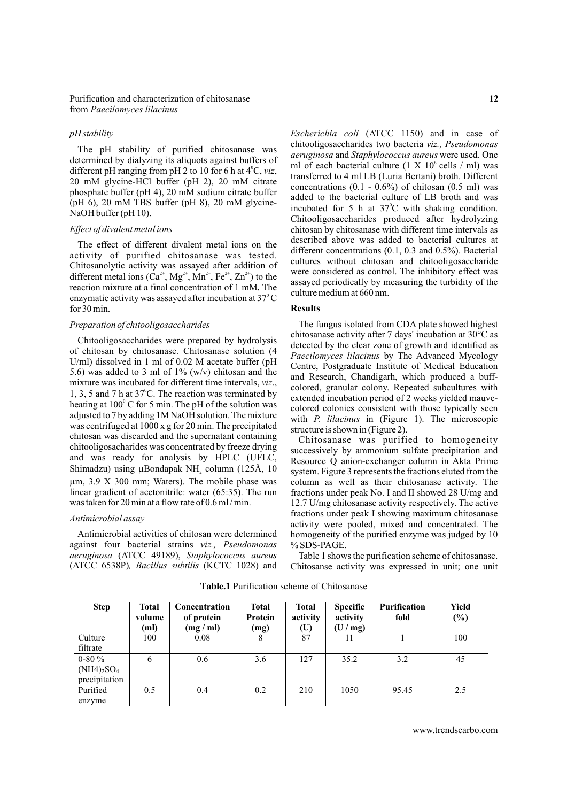different pH ranging from pH 2 to 10 for 6 h at  $4^{\circ}$ C, viz,<br>20 mM glycine-HCl buffer (pH 2), 20 mM citrate<br>phosphate buffer (pH 4), 20 mM sodium citrate buffer<br>(pH 6), 20 mM TBS buffer (pH 8), 20 mM glycine-<br>invested t

The effect of different divalent metal ions on the described above was added to bacterial cultures at<br>activity of purified chitosanase was tested.<br>Chitosanolytic activity was assayed after addition of cultures without chi different metal ions  $(Ca^{2+}, Mg^{2+}, Mn^{2+}, Fe^{2+}, Zn^{2+})$  to the<br>reaction mixture at a final concentration of 1 mM. The<br>reaction mixture at a final concentration of 1 mM. The<br>ulture medium at 660 nm. enzymatic activity was assayed after incubation at  $37^{\circ}$ C **Results** for 30 min.

mixture was included for different time intervals,  $v_1$ , colored, granular colony. Repeated subcultures with 1, 3, 5 and 7 h at  $37^{\circ}$ C. The reaction was terminated by extended incubation period of 2 weeks yielded mauv heating at  $100^{\circ}$  C for 5 min. The pH of the solution was adjusted to 7 by adding 1M NaOH solution. The mixture with *P. lilacinus* in (Figure 1). The microscopic was centrifuged at  $1000 \times g$  for 20 min. The precipitated structure is shown in (Figure 2). chitooligosacharides was concentrated by freeze drying successively by ammonium sulfate precipitation and and was ready for analysis by HPLC (UFLC, Resource Q anion-exchanger column in Akta Prime Shimadzu) using  $\mu$ Bondapak NH<sub>2</sub> column (125Å, 10 system. Figure 3 represents the fractions eluted from the um. 3.9 X 300 mm; Waters). The mobile phase was column as well as their chitosanase activity. The  $\mu$ m, 3.9 X 300 mm; Waters). The mobile phase was column as well as their chitosanase activity. The linear gradient of acetonitrile: water (65:35). The run fractions under peak No. I and II showed 28 U/mg and

against four bacterial strains *viz., Pseudomonas* % SDS-PAGE. *aeruginosa* (ATCC 49189), *Staphylococcus aureus* 

*pH stability Escherichia coli* (ATCC 1150) and in case of The pH stability of purified chitosanase was<br>determined by dialyzing its aliquots against buffers of<br>ml of each bacterial culture  $(1 \times 10^6 \text{ cells / m})$  was (pH 6), 20 mM TBS buffer (pH 8), 20 mM glycine-<br>NaOH buffer (pH 10).<br>Chitooligosaccharides produced after hydrolyzing *Effect of divalent metal ions* **chitosan** by chitosanase with different time intervals as

*Preparation of chitooligosaccharides* The fungus isolated from CDA plate showed highest<br>Chitosanase activity after 7 days' incubation at 30°C as Chitooligosaccharides were prepared by hydrolysis<br>of chitosan by chitosanase. Chitosanase solution (4<br>U/ml) dissolved in 1 ml of 0.02 M acetate buffer (pH<br>5.6) was added to 3 ml of 1% (w/v) chitosan and the<br>mixture was in

Chitosanase was purified to homogeneity linear gradient of acetonitrile: water (65:35). The run fractions under peak No. I and II showed 28 U/mg and was taken for 20 min at a flow rate of 0.6 ml/min. 12.7 U/mg chitosanase activity respectively. The active 12.7 U/mg chitosanase activity respectively. The active fractions under peak I showing maximum chitosanase *Antimicrobial assay* activity were pooled, mixed and concentrated. The Antimicrobial activities of chitosan were determined homogeneity of the purified enzyme was judged by 10

(ATCC 6538P)*, Bacillus subtilis* (KCTC 1028) and Chitosanse activity was expressed in unit; one unit

| <b>Step</b>       | <b>Total</b><br>volume<br>(ml) | Concentration<br>of protein<br>(mg / ml) | <b>Total</b><br>Protein<br>(mg) | <b>Total</b><br>activity<br>(U) | <b>Specific</b><br>activity<br>(U/mg) | <b>Purification</b><br>fold | Yield<br>$(\%)$ |
|-------------------|--------------------------------|------------------------------------------|---------------------------------|---------------------------------|---------------------------------------|-----------------------------|-----------------|
| Culture           | 100                            | 0.08                                     | 8                               | 87                              | 11                                    |                             | 100             |
| filtrate          |                                |                                          |                                 |                                 |                                       |                             |                 |
| $0 - 80 \%$       | 6                              | 0.6                                      | 3.6                             | 127                             | 35.2                                  | 3.2                         | 45              |
| $(NH4)_{2}SO_{4}$ |                                |                                          |                                 |                                 |                                       |                             |                 |
| precipitation     |                                |                                          |                                 |                                 |                                       |                             |                 |
| Purified          | 0.5                            | 0.4                                      | 0.2                             | 210                             | 1050                                  | 95.45                       | 2.5             |
| enzyme            |                                |                                          |                                 |                                 |                                       |                             |                 |

**Table.1** Purification scheme of Chitosanase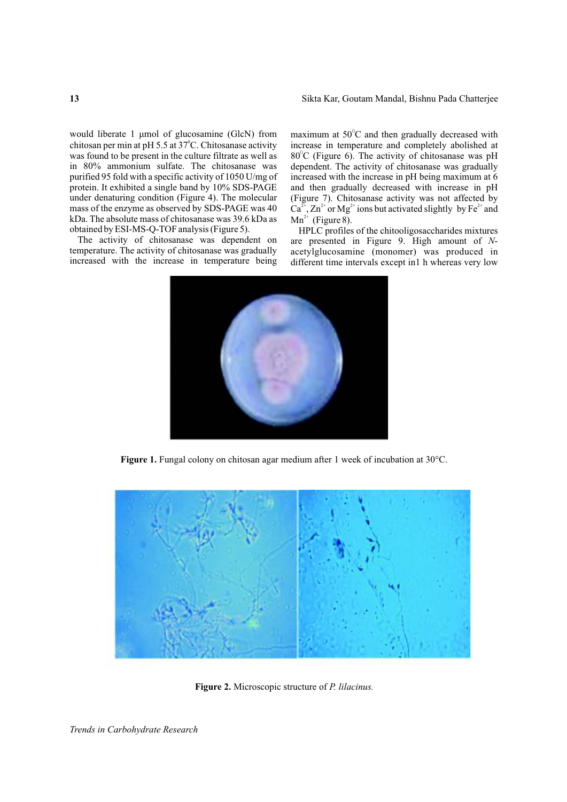chitosan per min at pH 5.5 at 37°C. Chitosanase activity increase in temperature and completely abolished at was found to be present in the culture filtrate as well as  $80^{\circ}$ C (Figure 6). The activity of chitosanase was pH in  $80\%$  ammonium sulfate. The chitosanase was dependent. The activity of chitosanase was gradually in 80% ammonium sulfate. The chitosanase was purified 95 fold with a specific activity of 1050 U/mg of purified 95 fold with a specific activity of 1050 U/mg of increased with the increase in pH being maximum at 6 protein. It exhibited a single band by 10% SDS-PAGE and then gradually decreased with increase in pH protein. It exhibited a single band by 10% SDS-PAGE and then gradually decreased with increase in pH under denaturing condition (Figure 4). The molecular (Figure 7). Chitosanase activity was not affected by mass of the enzyme as observed by  $SDS-PAGE$  was  $40$   $Ca<sup>2+</sup>, Zn<sup>2+</sup>$  or  $Mg<sup>2+</sup>$  ions but activated slightly by Fe<sup>2+</sup> and kDa. The absolute mass of chitosanase was  $39.6$  kDa as  $Mn^{2+}$  (Figure 8).<br>obtained by ESI-MS-Q-TOF analysis (Figure 5). HPLC profiles

temperature. The activity of chitosanase was gradually acetylglucosamine (monomer) was produced in increased with the increase in temperature being different time intervals except in l h whereas very low

would liberate 1 μmol of glucosamine (GlcN) from maximum at 50°C and then gradually decreased with (Figure 7). Chitosanase activity was not affected by

otained by ESI-MS-Q-TOF analysis (Figure 5). HPLC profiles of the chitooligosaccharides mixtures<br>The activity of chitosanase was dependent on are presented in Figure 9. High amount of N-The activity of chitosanase was dependent on are presented in Figure 9. High amount of *N*-<br>temperature. The activity of chitosanase was gradually acetylelucosamine (monomer) was produced in different time intervals except in1 h whereas very low



**Figure 1.** Fungal colony on chitosan agar medium after 1 week of incubation at 30°C.



**Figure 2.** Microscopic structure of *P. lilacinus.*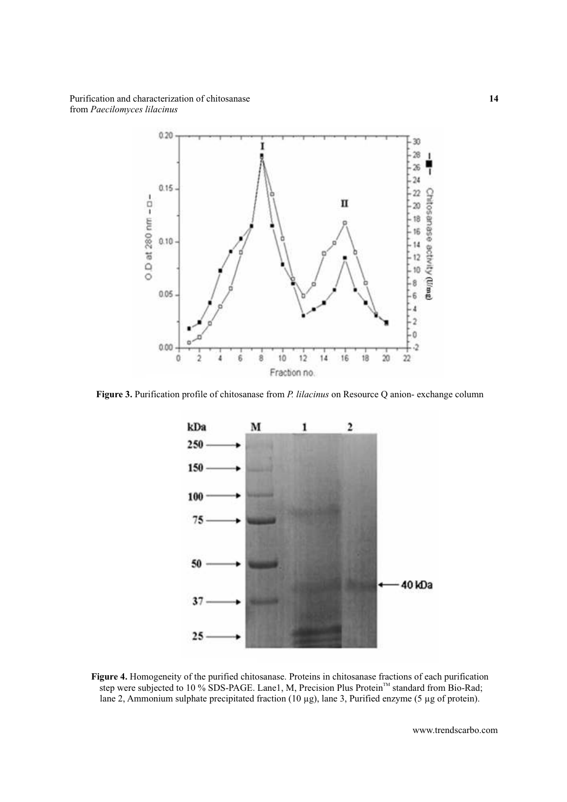

**Figure 3.** Purification profile of chitosanase from *P. lilacinus* on Resource Q anion- exchange column



**Figure 4.** Homogeneity of the purified chitosanase. Proteins in chitosanase fractions of each purification step were subjected to 10 % SDS-PAGE. Lane1, M, Precision Plus Protein<sup>™</sup> standard from Bio-Rad; lane 2, Ammonium sulphate precipitated fraction (10 µg), lane 3, Purified enzyme (5 µg of protein).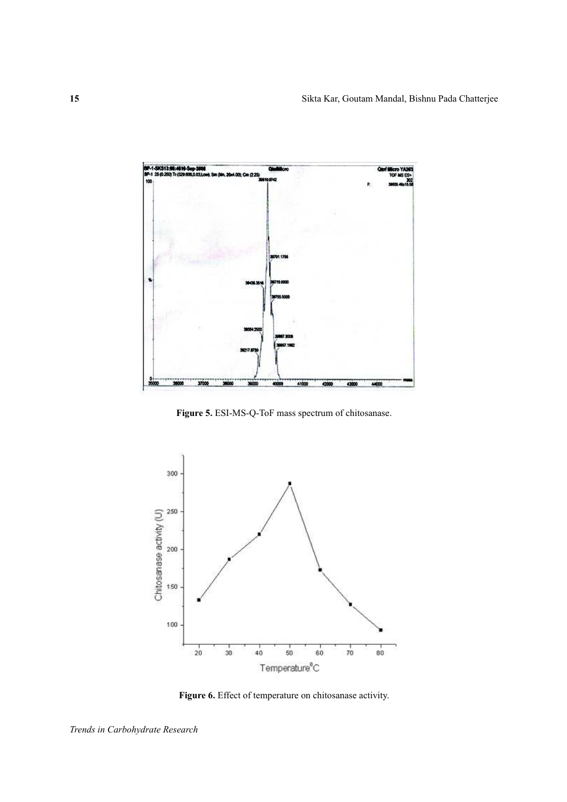

**Figure 5.** ESI-MS-Q-ToF mass spectrum of chitosanase.



**Figure 6.** Effect of temperature on chitosanase activity.

*Trends in Carbohydrate Research*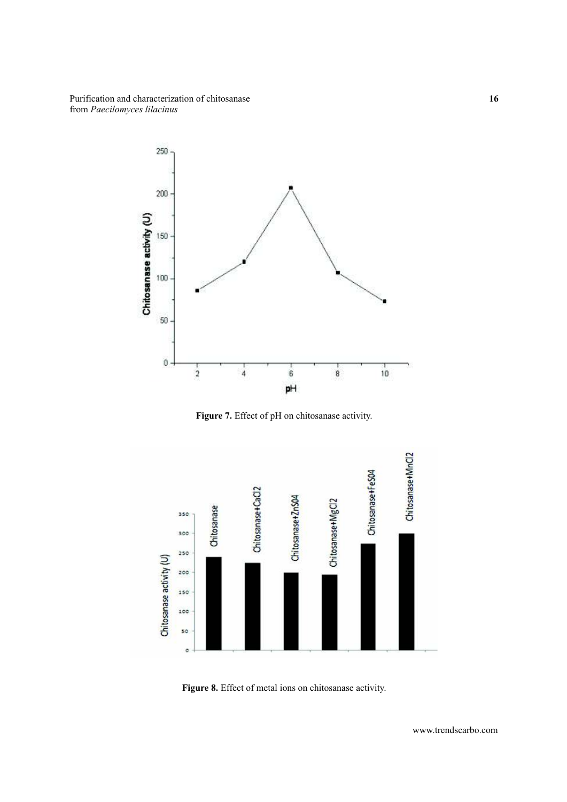

**Figure 7.** Effect of pH on chitosanase activity.



**Figure 8.** Effect of metal ions on chitosanase activity.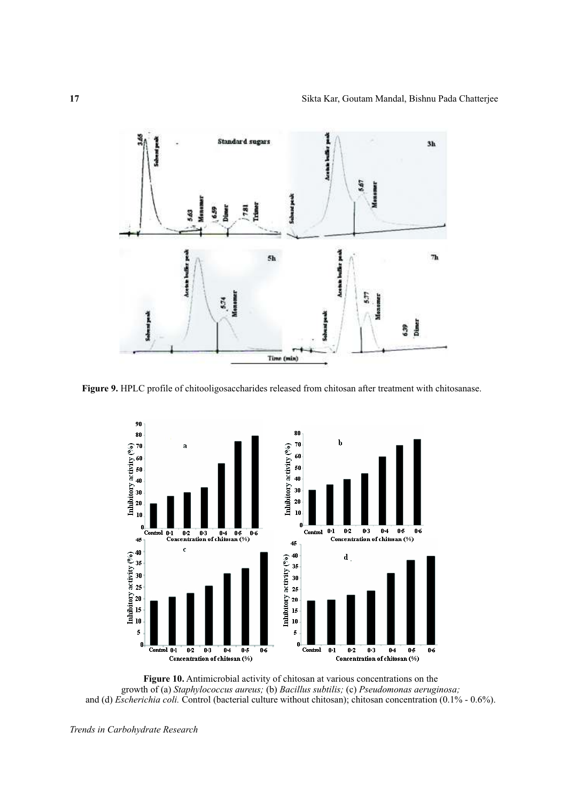

**Figure 9.** HPLC profile of chitooligosaccharides released from chitosan after treatment with chitosanase.



**Figure 10.** Antimicrobial activity of chitosan at various concentrations on the growth of (a) *Staphylococcus aureus;* (b) *Bacillus subtilis;* (c) *Pseudomonas aeruginosa;* and (d) *Escherichia coli.* Control (bacterial culture without chitosan); chitosan concentration (0.1% - 0.6%).

*Trends in Carbohydrate Research*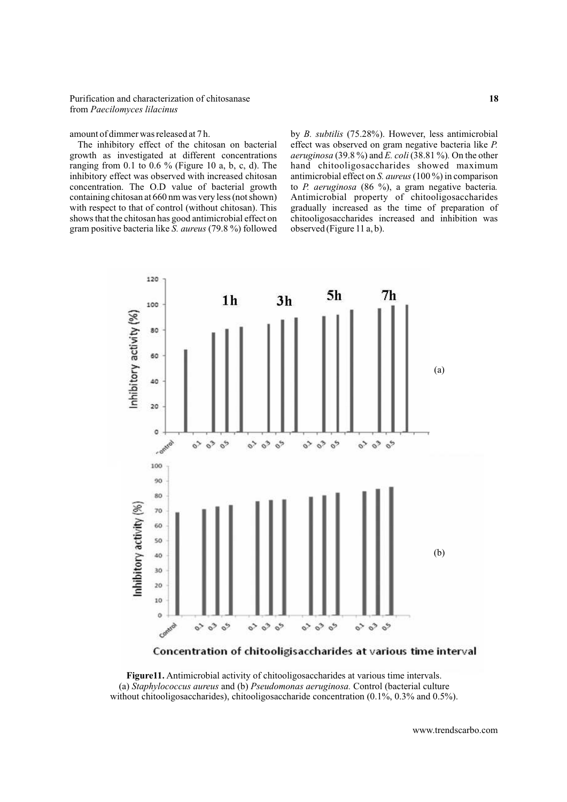growth as investigated at different concentrations ranging from 0.1 to 0.6 % (Figure 10 a, b, c, d). The hand chitooligosaccharides showed maximum inhibitory effect was observed with increased chitosan antimicrobial effect on *S. aureus* (100 %) in comparison concentration. The O.D value of bacterial growth to *P. aeruginosa* (86 %), a gram negative bacteria*.*  containing chitosan at 660 nm was very less (not shown) Antimicrobial property of chitooligosaccharides with respect to that of control (without chitosan). This gradually increased as the time of preparation of shows that the chitosan has good antimicrobial effect on chitooligosaccharides increased and inhibition was gram positive bacteria like *S. aureus* (79.8 %) followed observed (Figure 11 a, b).

amount of dimmer was released at 7 h. by *B. subtilis* (75.28%). However, less antimicrobial The inhibitory effect of the chitosan on bacterial effect was observed on gram negative bacteria like *P*. *P.*  $\alpha$  *P. P. P. P. P. P. P. P. P. P. P. P. P. P. P.* 



Concentration of chitooligisaccharides at various time interval

**Figure11.** Antimicrobial activity of chitooligosaccharides at various time intervals. (a) *Staphylococcus aureus* and (b) *Pseudomonas aeruginosa.* Control (bacterial culture without chitooligosaccharides), chitooligosaccharide concentration (0.1%, 0.3% and 0.5%).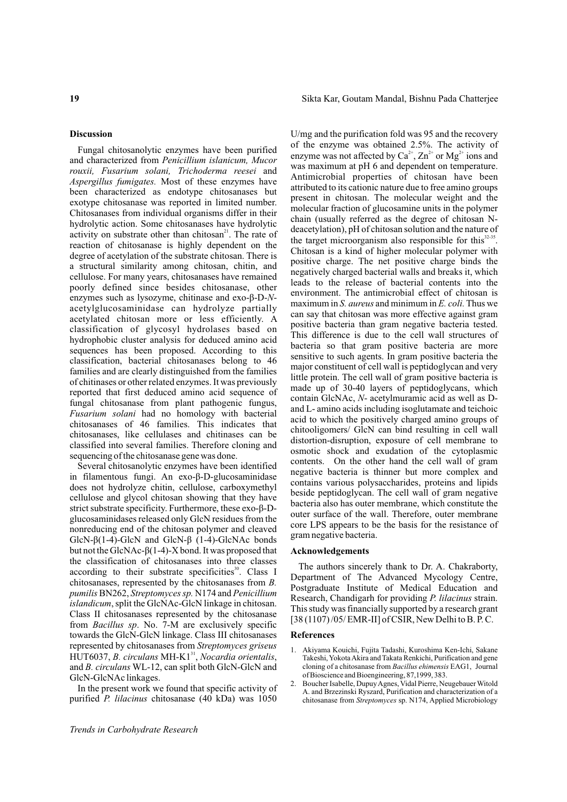activity on substrate other than chitosan<sup>21</sup>. The rate of<br>reaction of chitosanase is highly dependent on the<br>degree of acetylation of the substrate chitosan. There is<br>a structural similarity among chitosan, chitin, and<br>

but not the GlcNAc-β(1-4)-X bond. It was proposed that **Acknowledgements** the classification of chitosanases into three classes Example their substrate specificities<sup>30</sup>. Class I<br>chitosanases, represented by the chitosanases from B.<br>pumilis BN262, Streptomyces sp. N174 and Penicillium<br>islandicum, split the GlcNAc-GlcN linkage in chitosanase<br>Class I towards the GlcN-GlcN linkage. Class III chitosanases **References** represented by chitosanases from *Streptomyces griseus*<br>HUT6037, *B. circulans* MH-K1<sup>31</sup>, *Nocardia orientalis*, Takeshi, Yokota Akira and Takata Renkichi, Purification and gene and *B. circulans* WL-12, can split both GlcN-GlcN and cloning of a chitosanase from *Bacillus ehimensis* EAG1, Journal GlcN-GlcNAc linkages.<br>
In the proceed tree als sure form of the terms if is a stirity of a continue of the Babelle, Dupuy Agnes, Vidal Pierre, Neugebauer Witold

Sikta Kar, Goutam Mandal, Bishnu Pada Chatterjee

**Discussion** U/mg and the purification fold was 95 and the recovery Fungal chitosanolytic enzymes have been purified<br>and characterized from *Penicillium islanicum*, *Mucor*<br>rouxii, *Fusarium solani*, *Trichoderma reesei* and<br>*Aspergillus fumigates*. Most of these enzymes have<br>been charact encytize soan as yootying, contained and except and minimum in *S. aureus* and minimum in *E. coli.* Thus we accely<br>decorginate can hydrolyze partially can say that chiosan was more effective against grame<br>classification o

- 
- In the present work we found that specific activity of  $\frac{2. \text{ Boulen Saotelb, Dupdy Agnes, Vidal I ler, Negcoadlet Wibold}}{A. \text{ and Brzezinski Ryszard, Purification and characterization of a}}$ purified *P. lilacinus* chitosanase (40 kDa) was 1050 chitosanase from *Streptomyces* sp. N174, Applied Microbiology